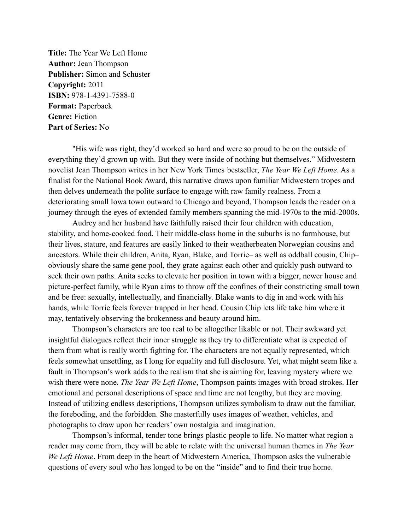**Title:** The Year We Left Home **Author:** Jean Thompson **Publisher:** Simon and Schuster **Copyright:** 2011 **ISBN:** 978-1-4391-7588-0 **Format:** Paperback **Genre:** Fiction **Part of Series:** No

"His wife was right, they'd worked so hard and were so proud to be on the outside of everything they'd grown up with. But they were inside of nothing but themselves." Midwestern novelist Jean Thompson writes in her New York Times bestseller, *The Year We Left Home*. As a finalist for the National Book Award, this narrative draws upon familiar Midwestern tropes and then delves underneath the polite surface to engage with raw family realness. From a deteriorating small Iowa town outward to Chicago and beyond, Thompson leads the reader on a journey through the eyes of extended family members spanning the mid-1970s to the mid-2000s.

Audrey and her husband have faithfully raised their four children with education, stability, and home-cooked food. Their middle-class home in the suburbs is no farmhouse, but their lives, stature, and features are easily linked to their weatherbeaten Norwegian cousins and ancestors. While their children, Anita, Ryan, Blake, and Torrie– as well as oddball cousin, Chip– obviously share the same gene pool, they grate against each other and quickly push outward to seek their own paths. Anita seeks to elevate her position in town with a bigger, newer house and picture-perfect family, while Ryan aims to throw off the confines of their constricting small town and be free: sexually, intellectually, and financially. Blake wants to dig in and work with his hands, while Torrie feels forever trapped in her head. Cousin Chip lets life take him where it may, tentatively observing the brokenness and beauty around him.

Thompson's characters are too real to be altogether likable or not. Their awkward yet insightful dialogues reflect their inner struggle as they try to differentiate what is expected of them from what is really worth fighting for. The characters are not equally represented, which feels somewhat unsettling, as I long for equality and full disclosure. Yet, what might seem like a fault in Thompson's work adds to the realism that she is aiming for, leaving mystery where we wish there were none. *The Year We Left Home*, Thompson paints images with broad strokes. Her emotional and personal descriptions of space and time are not lengthy, but they are moving. Instead of utilizing endless descriptions, Thompson utilizes symbolism to draw out the familiar, the foreboding, and the forbidden. She masterfully uses images of weather, vehicles, and photographs to draw upon her readers' own nostalgia and imagination.

Thompson's informal, tender tone brings plastic people to life. No matter what region a reader may come from, they will be able to relate with the universal human themes in *The Year We Left Home*. From deep in the heart of Midwestern America, Thompson asks the vulnerable questions of every soul who has longed to be on the "inside" and to find their true home.